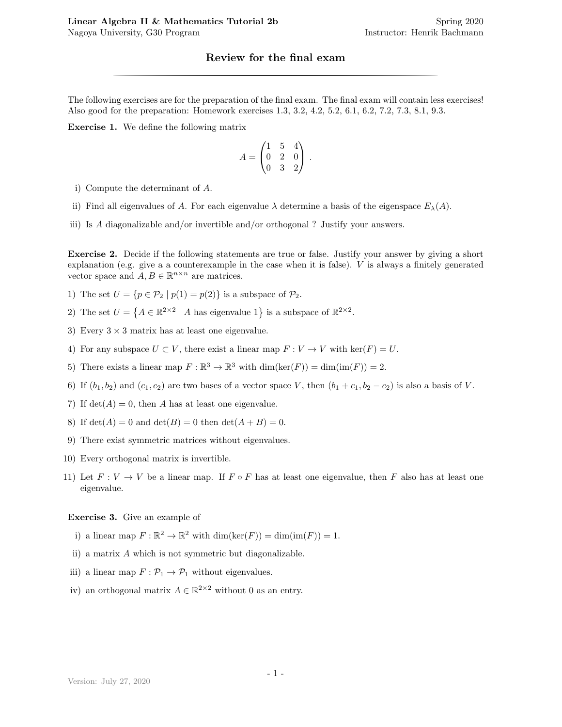## Review for the final exam

**Linear Algebra II & Mathematics Tutorial 2b** Spring 2020<br>
Spring 2020<br>
Instructor: Henrik Bachmann<br> **Review for the final exam**<br>
The following exercises are for the preparation of the final exam. The final exam will cont The following exercises are for the preparation of the final exam. The final exam will contain less exercises! Also good for the preparation: Homework exercises 1.3, 3.2, 4.2, 5.2, 6.1, 6.2, 7.2, 7.3, 8.1, 9.3.

Exercise 1. We define the following matrix

$$
A = \begin{pmatrix} 1 & 5 & 4 \\ 0 & 2 & 0 \\ 0 & 3 & 2 \end{pmatrix}.
$$

- i) Compute the determinant of A.
- ii) Find all eigenvalues of A. For each eigenvalue  $\lambda$  determine a basis of the eigenspace  $E_{\lambda}(A)$ .
- iii) Is A diagonalizable and/or invertible and/or orthogonal ? Justify your answers.

Exercise 2. Decide if the following statements are true or false. Justify your answer by giving a short explanation (e.g. give a a counterexample in the case when it is false). V is always a finitely generated vector space and  $A, B \in \mathbb{R}^{n \times n}$  are matrices.

- 1) The set  $U = \{p \in \mathcal{P}_2 \mid p(1) = p(2)\}\$ is a subspace of  $\mathcal{P}_2$ .
- 2) The set  $U = \{A \in \mathbb{R}^{2 \times 2} \mid A \text{ has eigenvalue } 1\}$  is a subspace of  $\mathbb{R}^{2 \times 2}$ .
- 3) Every  $3 \times 3$  matrix has at least one eigenvalue.
- 4) For any subspace  $U \subset V$ , there exist a linear map  $F: V \to V$  with  $\ker(F) = U$ .
- 5) There exists a linear map  $F : \mathbb{R}^3 \to \mathbb{R}^3$  with  $\dim(\ker(F)) = \dim(\text{im}(F)) = 2$ .
- 6) If  $(b_1, b_2)$  and  $(c_1, c_2)$  are two bases of a vector space V, then  $(b_1 + c_1, b_2 c_2)$  is also a basis of V.
- 7) If  $det(A) = 0$ , then A has at least one eigenvalue.
- 8) If  $det(A) = 0$  and  $det(B) = 0$  then  $det(A + B) = 0$ .
- 9) There exist symmetric matrices without eigenvalues.
- 10) Every orthogonal matrix is invertible.
- 11) Let  $F: V \to V$  be a linear map. If  $F \circ F$  has at least one eigenvalue, then F also has at least one eigenvalue.

## Exercise 3. Give an example of

- i) a linear map  $F : \mathbb{R}^2 \to \mathbb{R}^2$  with  $\dim(\ker(F)) = \dim(\text{im}(F)) = 1$ .
- ii) a matrix A which is not symmetric but diagonalizable.
- iii) a linear map  $F: \mathcal{P}_1 \to \mathcal{P}_1$  without eigenvalues.
- iv) an orthogonal matrix  $A \in \mathbb{R}^{2 \times 2}$  without 0 as an entry.